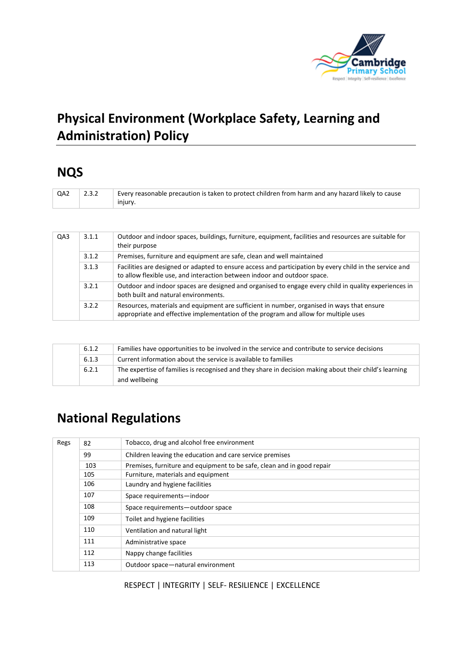

# **Physical Environment (Workplace Safety, Learning and Administration) Policy**

# **NQS**

| QA2 | 2.3.2 | Every reasonable precaution is taken to protect children from harm and any hazard likely to cause<br>injury. |
|-----|-------|--------------------------------------------------------------------------------------------------------------|
|     |       |                                                                                                              |

| QA3 | 3.1.1 | Outdoor and indoor spaces, buildings, furniture, equipment, facilities and resources are suitable for<br>their purpose                                                              |
|-----|-------|-------------------------------------------------------------------------------------------------------------------------------------------------------------------------------------|
|     | 3.1.2 | Premises, furniture and equipment are safe, clean and well maintained                                                                                                               |
|     | 3.1.3 | Facilities are designed or adapted to ensure access and participation by every child in the service and<br>to allow flexible use, and interaction between indoor and outdoor space. |
|     | 3.2.1 | Outdoor and indoor spaces are designed and organised to engage every child in quality experiences in<br>both built and natural environments.                                        |
|     | 3.2.2 | Resources, materials and equipment are sufficient in number, organised in ways that ensure<br>appropriate and effective implementation of the program and allow for multiple uses   |

| 6.1.2 | Families have opportunities to be involved in the service and contribute to service decisions                           |
|-------|-------------------------------------------------------------------------------------------------------------------------|
| 6.1.3 | Current information about the service is available to families                                                          |
| 6.2.1 | The expertise of families is recognised and they share in decision making about their child's learning<br>and wellbeing |

# **National Regulations**

| Regs | 82                                                                                                                  | Tobacco, drug and alcohol free environment                             |  |
|------|---------------------------------------------------------------------------------------------------------------------|------------------------------------------------------------------------|--|
|      | 99                                                                                                                  | Children leaving the education and care service premises               |  |
|      | 103                                                                                                                 | Premises, furniture and equipment to be safe, clean and in good repair |  |
|      | 105                                                                                                                 | Furniture, materials and equipment                                     |  |
|      | 106<br>Laundry and hygiene facilities                                                                               |                                                                        |  |
|      | 107<br>Space requirements-indoor<br>108<br>Space requirements-outdoor space<br>109<br>Toilet and hygiene facilities |                                                                        |  |
|      |                                                                                                                     |                                                                        |  |
|      |                                                                                                                     |                                                                        |  |
|      | 110                                                                                                                 | Ventilation and natural light                                          |  |
|      | 111                                                                                                                 | Administrative space                                                   |  |
|      | 112                                                                                                                 | Nappy change facilities                                                |  |
|      | 113                                                                                                                 | Outdoor space-natural environment                                      |  |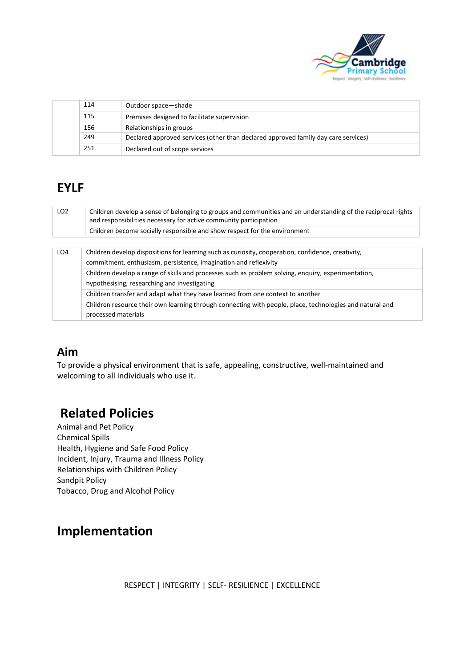

| 114 | Outdoor space-shade                                                                |
|-----|------------------------------------------------------------------------------------|
| 115 | Premises designed to facilitate supervision                                        |
| 156 | Relationships in groups                                                            |
| 249 | Declared approved services (other than declared approved family day care services) |
| 251 | Declared out of scope services                                                     |

# **EYLF**

| LO <sub>2</sub> | Children develop a sense of belonging to groups and communities and an understanding of the reciprocal rights<br>and responsibilities necessary for active community participation<br>Children become socially responsible and show respect for the environment                                                                                                                                                                                                                                                                                    |
|-----------------|----------------------------------------------------------------------------------------------------------------------------------------------------------------------------------------------------------------------------------------------------------------------------------------------------------------------------------------------------------------------------------------------------------------------------------------------------------------------------------------------------------------------------------------------------|
| LO <sub>4</sub> | Children develop dispositions for learning such as curiosity, cooperation, confidence, creativity,<br>commitment, enthusiasm, persistence, imagination and reflexivity<br>Children develop a range of skills and processes such as problem solving, enquiry, experimentation,<br>hypothesising, researching and investigating<br>Children transfer and adapt what they have learned from one context to another<br>Children resource their own learning through connecting with people, place, technologies and natural and<br>processed materials |

## **Aim**

To provide a physical environment that is safe, appealing, constructive, well-maintained and welcoming to all individuals who use it.

# **Related Policies**

Animal and Pet Policy Chemical Spills Health, Hygiene and Safe Food Policy Incident, Injury, Trauma and Illness Policy Relationships with Children Policy Sandpit Policy Tobacco, Drug and Alcohol Policy

# **Implementation**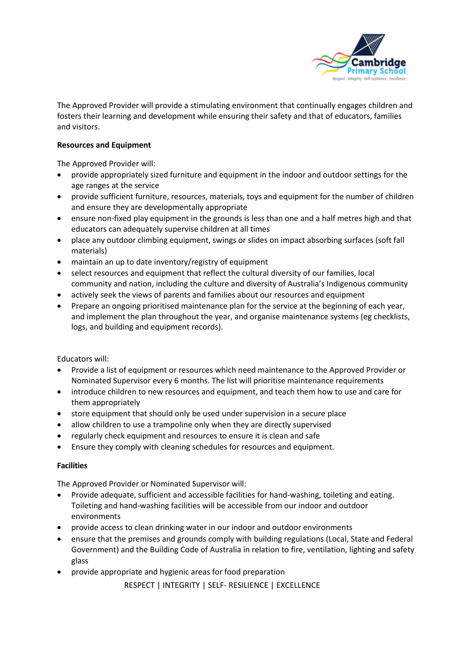

The Approved Provider will provide a stimulating environment that continually engages children and fosters their learning and development while ensuring their safety and that of educators, families and visitors.

#### **Resources and Equipment**

The Approved Provider will:

- provide appropriately sized furniture and equipment in the indoor and outdoor settings for the age ranges at the service
- provide sufficient furniture, resources, materials, toys and equipment for the number of children and ensure they are developmentally appropriate
- ensure non-fixed play equipment in the grounds is less than one and a half metres high and that educators can adequately supervise children at all times
- place any outdoor climbing equipment, swings or slides on impact absorbing surfaces (soft fall materials)
- maintain an up to date inventory/registry of equipment
- select resources and equipment that reflect the cultural diversity of our families, local community and nation, including the culture and diversity of Australia's Indigenous community
- actively seek the views of parents and families about our resources and equipment
- Prepare an ongoing prioritised maintenance plan for the service at the beginning of each year, and implement the plan throughout the year, and organise maintenance systems (eg checklists, logs, and building and equipment records).

Educators will:

- Provide a list of equipment or resources which need maintenance to the Approved Provider or Nominated Supervisor every 6 months. The list will prioritise maintenance requirements
- introduce children to new resources and equipment, and teach them how to use and care for them appropriately
- store equipment that should only be used under supervision in a secure place
- allow children to use a trampoline only when they are directly supervised
- regularly check equipment and resources to ensure it is clean and safe
- Ensure they comply with cleaning schedules for resources and equipment.

#### **Facilities**

The Approved Provider or Nominated Supervisor will:

- Provide adequate, sufficient and accessible facilities for hand-washing, toileting and eating. Toileting and hand-washing facilities will be accessible from our indoor and outdoor environments
- provide access to clean drinking water in our indoor and outdoor environments
- ensure that the premises and grounds comply with building regulations (Local, State and Federal Government) and the Building Code of Australia in relation to fire, ventilation, lighting and safety glass
- provide appropriate and hygienic areas for food preparation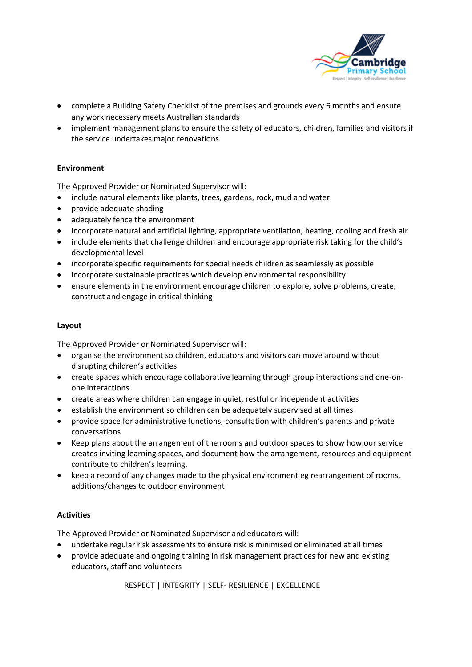

- complete a Building Safety Checklist of the premises and grounds every 6 months and ensure any work necessary meets Australian standards
- implement management plans to ensure the safety of educators, children, families and visitors if the service undertakes major renovations

#### **Environment**

The Approved Provider or Nominated Supervisor will:

- include natural elements like plants, trees, gardens, rock, mud and water
- provide adequate shading
- adequately fence the environment
- incorporate natural and artificial lighting, appropriate ventilation, heating, cooling and fresh air
- include elements that challenge children and encourage appropriate risk taking for the child's developmental level
- incorporate specific requirements for special needs children as seamlessly as possible
- incorporate sustainable practices which develop environmental responsibility
- ensure elements in the environment encourage children to explore, solve problems, create, construct and engage in critical thinking

#### **Layout**

The Approved Provider or Nominated Supervisor will:

- organise the environment so children, educators and visitors can move around without disrupting children's activities
- create spaces which encourage collaborative learning through group interactions and one-onone interactions
- create areas where children can engage in quiet, restful or independent activities
- establish the environment so children can be adequately supervised at all times
- provide space for administrative functions, consultation with children's parents and private conversations
- Keep plans about the arrangement of the rooms and outdoor spaces to show how our service creates inviting learning spaces, and document how the arrangement, resources and equipment contribute to children's learning.
- keep a record of any changes made to the physical environment eg rearrangement of rooms, additions/changes to outdoor environment

#### **Activities**

The Approved Provider or Nominated Supervisor and educators will:

- undertake regular risk assessments to ensure risk is minimised or eliminated at all times
- provide adequate and ongoing training in risk management practices for new and existing educators, staff and volunteers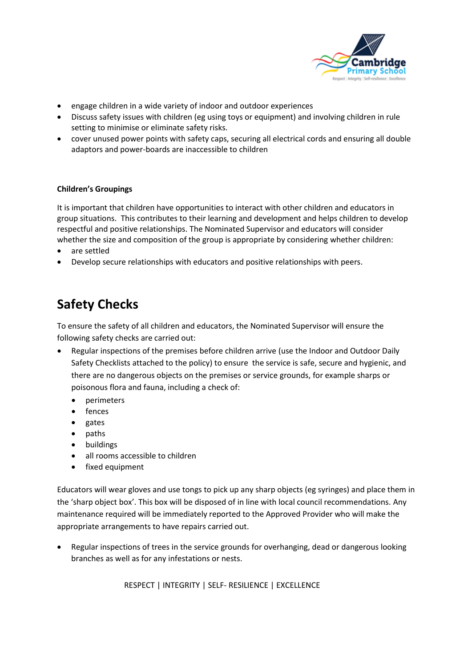

- engage children in a wide variety of indoor and outdoor experiences
- Discuss safety issues with children (eg using toys or equipment) and involving children in rule setting to minimise or eliminate safety risks.
- cover unused power points with safety caps, securing all electrical cords and ensuring all double adaptors and power-boards are inaccessible to children

#### **Children's Groupings**

It is important that children have opportunities to interact with other children and educators in group situations. This contributes to their learning and development and helps children to develop respectful and positive relationships. The Nominated Supervisor and educators will consider whether the size and composition of the group is appropriate by considering whether children:

- are settled
- Develop secure relationships with educators and positive relationships with peers.

# **Safety Checks**

To ensure the safety of all children and educators, the Nominated Supervisor will ensure the following safety checks are carried out:

- Regular inspections of the premises before children arrive (use the Indoor and Outdoor Daily Safety Checklists attached to the policy) to ensure the service is safe, secure and hygienic, and there are no dangerous objects on the premises or service grounds, for example sharps or poisonous flora and fauna, including a check of:
	- perimeters
	- fences
	- gates
	- paths
	- buildings
	- all rooms accessible to children
	- fixed equipment

Educators will wear gloves and use tongs to pick up any sharp objects (eg syringes) and place them in the 'sharp object box'. This box will be disposed of in line with local council recommendations. Any maintenance required will be immediately reported to the Approved Provider who will make the appropriate arrangements to have repairs carried out.

• Regular inspections of trees in the service grounds for overhanging, dead or dangerous looking branches as well as for any infestations or nests.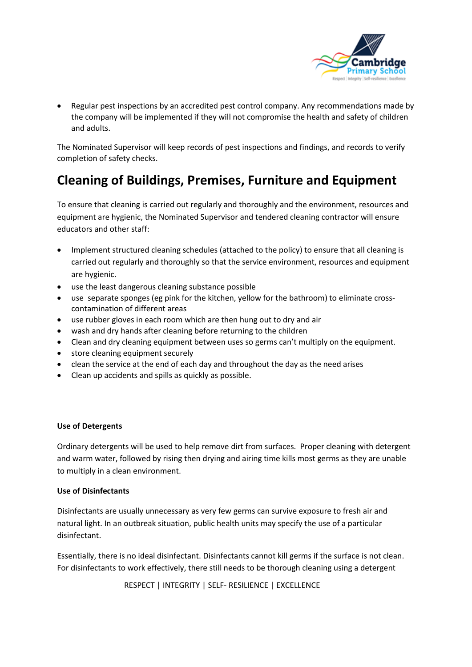

• Regular pest inspections by an accredited pest control company. Any recommendations made by the company will be implemented if they will not compromise the health and safety of children and adults.

The Nominated Supervisor will keep records of pest inspections and findings, and records to verify completion of safety checks.

# **Cleaning of Buildings, Premises, Furniture and Equipment**

To ensure that cleaning is carried out regularly and thoroughly and the environment, resources and equipment are hygienic, the Nominated Supervisor and tendered cleaning contractor will ensure educators and other staff:

- Implement structured cleaning schedules (attached to the policy) to ensure that all cleaning is carried out regularly and thoroughly so that the service environment, resources and equipment are hygienic.
- use the least dangerous cleaning substance possible
- use separate sponges (eg pink for the kitchen, yellow for the bathroom) to eliminate crosscontamination of different areas
- use rubber gloves in each room which are then hung out to dry and air
- wash and dry hands after cleaning before returning to the children
- Clean and dry cleaning equipment between uses so germs can't multiply on the equipment.
- store cleaning equipment securely
- clean the service at the end of each day and throughout the day as the need arises
- Clean up accidents and spills as quickly as possible.

#### **Use of Detergents**

Ordinary detergents will be used to help remove dirt from surfaces. Proper cleaning with detergent and warm water, followed by rising then drying and airing time kills most germs as they are unable to multiply in a clean environment.

#### **Use of Disinfectants**

Disinfectants are usually unnecessary as very few germs can survive exposure to fresh air and natural light. In an outbreak situation, public health units may specify the use of a particular disinfectant.

Essentially, there is no ideal disinfectant. Disinfectants cannot kill germs if the surface is not clean. For disinfectants to work effectively, there still needs to be thorough cleaning using a detergent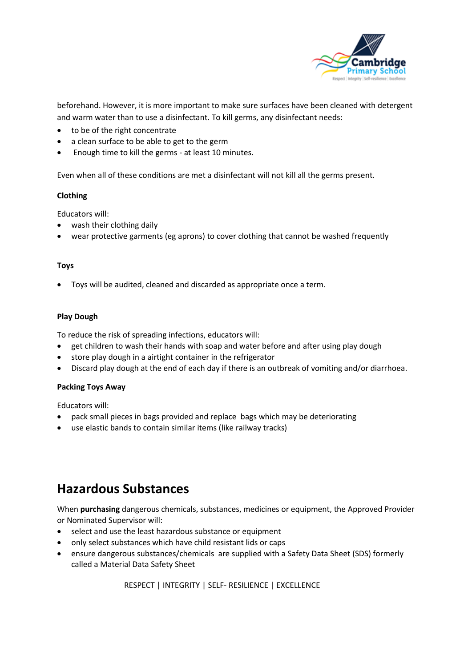

beforehand. However, it is more important to make sure surfaces have been cleaned with detergent and warm water than to use a disinfectant. To kill germs, any disinfectant needs:

- to be of the right concentrate
- a clean surface to be able to get to the germ
- Enough time to kill the germs at least 10 minutes.

Even when all of these conditions are met a disinfectant will not kill all the germs present.

#### **Clothing**

Educators will:

- wash their clothing daily
- wear protective garments (eg aprons) to cover clothing that cannot be washed frequently

#### **Toys**

• Toys will be audited, cleaned and discarded as appropriate once a term.

#### **Play Dough**

To reduce the risk of spreading infections, educators will:

- get children to wash their hands with soap and water before and after using play dough
- store play dough in a airtight container in the refrigerator
- Discard play dough at the end of each day if there is an outbreak of vomiting and/or diarrhoea.

#### **Packing Toys Away**

Educators will:

- pack small pieces in bags provided and replace bags which may be deteriorating
- use elastic bands to contain similar items (like railway tracks)

## **Hazardous Substances**

When **purchasing** dangerous chemicals, substances, medicines or equipment, the Approved Provider or Nominated Supervisor will:

- select and use the least hazardous substance or equipment
- only select substances which have child resistant lids or caps
- ensure dangerous substances/chemicals are supplied with a Safety Data Sheet (SDS) formerly called a Material Data Safety Sheet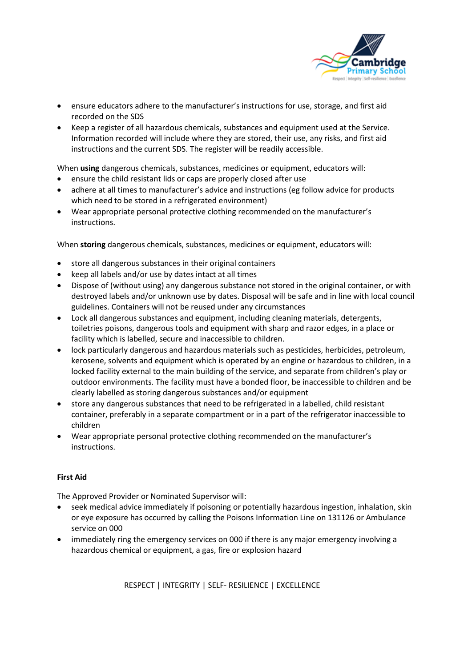

- ensure educators adhere to the manufacturer's instructions for use, storage, and first aid recorded on the SDS
- Keep a register of all hazardous chemicals, substances and equipment used at the Service. Information recorded will include where they are stored, their use, any risks, and first aid instructions and the current SDS. The register will be readily accessible.

When **using** dangerous chemicals, substances, medicines or equipment, educators will:

- ensure the child resistant lids or caps are properly closed after use
- adhere at all times to manufacturer's advice and instructions (eg follow advice for products which need to be stored in a refrigerated environment)
- Wear appropriate personal protective clothing recommended on the manufacturer's instructions.

When **storing** dangerous chemicals, substances, medicines or equipment, educators will:

- store all dangerous substances in their original containers
- keep all labels and/or use by dates intact at all times
- Dispose of (without using) any dangerous substance not stored in the original container, or with destroyed labels and/or unknown use by dates. Disposal will be safe and in line with local council guidelines. Containers will not be reused under any circumstances
- Lock all dangerous substances and equipment, including cleaning materials, detergents, toiletries poisons, dangerous tools and equipment with sharp and razor edges, in a place or facility which is labelled, secure and inaccessible to children.
- lock particularly dangerous and hazardous materials such as pesticides, herbicides, petroleum, kerosene, solvents and equipment which is operated by an engine or hazardous to children, in a locked facility external to the main building of the service, and separate from children's play or outdoor environments. The facility must have a bonded floor, be inaccessible to children and be clearly labelled as storing dangerous substances and/or equipment
- store any dangerous substances that need to be refrigerated in a labelled, child resistant container, preferably in a separate compartment or in a part of the refrigerator inaccessible to children
- Wear appropriate personal protective clothing recommended on the manufacturer's instructions.

#### **First Aid**

The Approved Provider or Nominated Supervisor will:

- seek medical advice immediately if poisoning or potentially hazardous ingestion, inhalation, skin or eye exposure has occurred by calling the Poisons Information Line on 131126 or Ambulance service on 000
- immediately ring the emergency services on 000 if there is any major emergency involving a hazardous chemical or equipment, a gas, fire or explosion hazard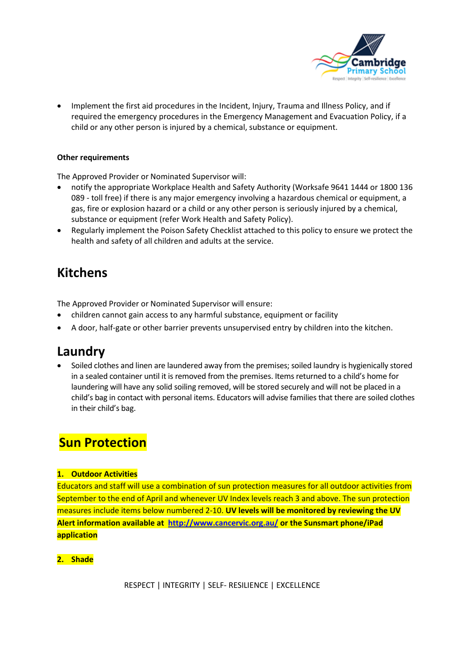

• Implement the first aid procedures in the Incident, Injury, Trauma and Illness Policy, and if required the emergency procedures in the Emergency Management and Evacuation Policy, if a child or any other person is injured by a chemical, substance or equipment.

#### **Other requirements**

The Approved Provider or Nominated Supervisor will:

- notify the appropriate Workplace Health and Safety Authority (Worksafe 9641 1444 or 1800 136 089 - toll free) if there is any major emergency involving a hazardous chemical or equipment, a gas, fire or explosion hazard or a child or any other person is seriously injured by a chemical, substance or equipment (refer Work Health and Safety Policy).
- Regularly implement the Poison Safety Checklist attached to this policy to ensure we protect the health and safety of all children and adults at the service.

## **Kitchens**

The Approved Provider or Nominated Supervisor will ensure:

- children cannot gain access to any harmful substance, equipment or facility
- A door, half-gate or other barrier prevents unsupervised entry by children into the kitchen.

## **Laundry**

• Soiled clothes and linen are laundered away from the premises; soiled laundry is hygienically stored in a sealed container until it is removed from the premises. Items returned to a child's home for laundering will have any solid soiling removed, will be stored securely and will not be placed in a child's bag in contact with personal items. Educators will advise families that there are soiled clothes in their child's bag.

# **Sun Protection**

#### **1. Outdoor Activities**

Educators and staff will use a combination of sun protection measures for all outdoor activities from September to the end of April and whenever UV Index levels reach 3 and above. The sun protection measures include items below numbered 2-10. **UV levels will be monitored by reviewing the UV Alert information available at <http://www.cancervic.org.au/> or the Sunsmart phone/iPad application**

### **2. Shade**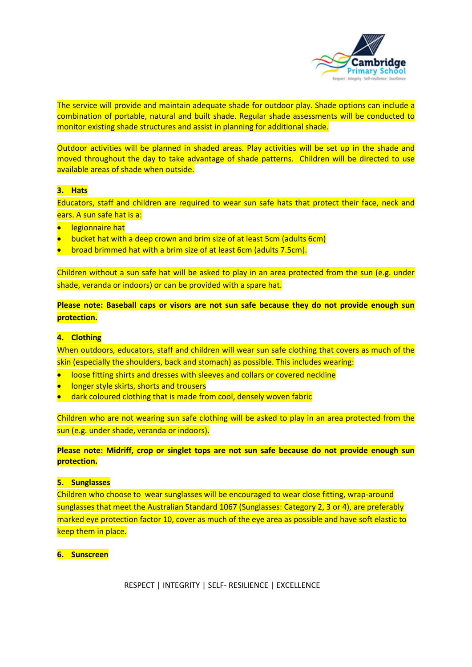

The service will provide and maintain adequate shade for outdoor play. Shade options can include a combination of portable, natural and built shade. Regular shade assessments will be conducted to monitor existing shade structures and assist in planning for additional shade.

Outdoor activities will be planned in shaded areas. Play activities will be set up in the shade and moved throughout the day to take advantage of shade patterns. Children will be directed to use available areas of shade when outside.

#### **3. Hats**

Educators, staff and children are required to wear sun safe hats that protect their face, neck and ears. A sun safe hat is a:

- legionnaire hat
- bucket hat with a deep crown and brim size of at least 5cm (adults 6cm)
- broad brimmed hat with a brim size of at least 6cm (adults 7.5cm).

Children without a sun safe hat will be asked to play in an area protected from the sun (e.g. under shade, veranda or indoors) or can be provided with a spare hat.

**Please note: Baseball caps or visors are not sun safe because they do not provide enough sun protection.**

#### **4. Clothing**

When outdoors, educators, staff and children will wear sun safe clothing that covers as much of the skin (especially the shoulders, back and stomach) as possible. This includes wearing:

- loose fitting shirts and dresses with sleeves and collars or covered neckline
- longer style skirts, shorts and trousers
- dark coloured clothing that is made from cool, densely woven fabric

Children who are not wearing sun safe clothing will be asked to play in an area protected from the sun (e.g. under shade, veranda or indoors).

**Please note: Midriff, crop or singlet tops are not sun safe because do not provide enough sun protection.**

#### **5. Sunglasses**

Children who choose to wear sunglasses will be encouraged to wear close fitting, wrap-around sunglasses that meet the Australian Standard 1067 (Sunglasses: Category 2, 3 or 4), are preferably marked eye protection factor 10, cover as much of the eye area as possible and have soft elastic to keep them in place.

#### **6. Sunscreen**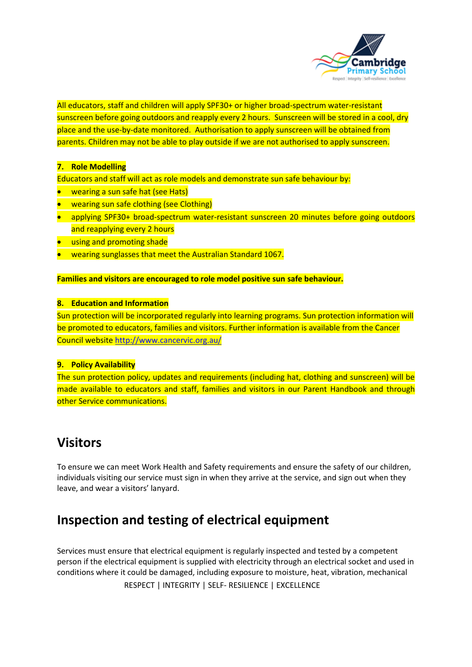

All educators, staff and children will apply SPF30+ or higher broad-spectrum water-resistant sunscreen before going outdoors and reapply every 2 hours. Sunscreen will be stored in a cool, dry place and the use-by-date monitored. Authorisation to apply sunscreen will be obtained from parents. Children may not be able to play outside if we are not authorised to apply sunscreen.

#### **7. Role Modelling**

Educators and staff will act as role models and demonstrate sun safe behaviour by:

- wearing a sun safe hat (see Hats)
- wearing sun safe clothing (see Clothing)
- applying SPF30+ broad-spectrum water-resistant sunscreen 20 minutes before going outdoors and reapplying every 2 hours
- **using and promoting shade**
- wearing sunglasses that meet the Australian Standard 1067.

#### **Families and visitors are encouraged to role model positive sun safe behaviour.**

#### **8. Education and Information**

Sun protection will be incorporated regularly into learning programs. Sun protection information will be promoted to educators, families and visitors. Further information is available from the Cancer Council website<http://www.cancervic.org.au/>

#### **9. Policy Availability**

The sun protection policy, updates and requirements (including hat, clothing and sunscreen) will be made available to educators and staff, families and visitors in our Parent Handbook and through other Service communications.

## **Visitors**

To ensure we can meet Work Health and Safety requirements and ensure the safety of our children, individuals visiting our service must sign in when they arrive at the service, and sign out when they leave, and wear a visitors' lanyard.

## **Inspection and testing of electrical equipment**

 RESPECT | INTEGRITY | SELF- RESILIENCE | EXCELLENCE Services must ensure that electrical equipment is regularly inspected and tested by a competent person if the electrical equipment is supplied with electricity through an electrical socket and used in conditions where it could be damaged, including exposure to moisture, heat, vibration, mechanical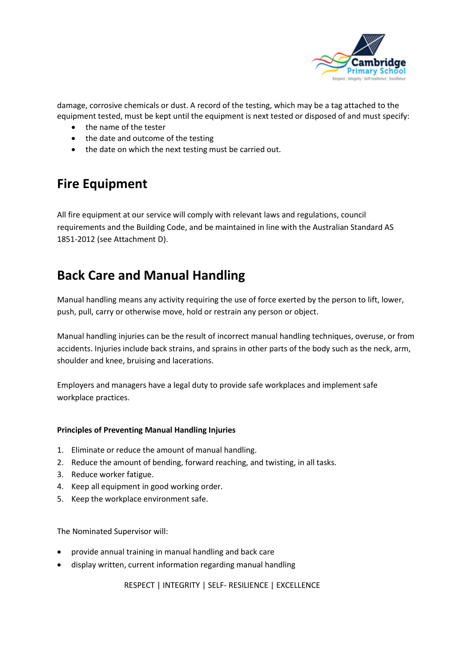

damage, corrosive chemicals or dust. A record of the testing, which may be a tag attached to the equipment tested, must be kept until the equipment is next tested or disposed of and must specify:

- the name of the tester
- the date and outcome of the testing
- the date on which the next testing must be carried out.

## **Fire Equipment**

All fire equipment at our service will comply with relevant laws and regulations, council requirements and the Building Code, and be maintained in line with the Australian Standard AS 1851-2012 (see Attachment D).

# **Back Care and Manual Handling**

Manual handling means any activity requiring the use of force exerted by the person to lift, lower, push, pull, carry or otherwise move, hold or restrain any person or object.

Manual handling injuries can be the result of incorrect manual handling techniques, overuse, or from accidents. Injuries include back strains, and sprains in other parts of the body such as the neck, arm, shoulder and knee, bruising and lacerations.

Employers and managers have a legal duty to provide safe workplaces and implement safe workplace practices.

#### **Principles of Preventing Manual Handling Injuries**

- 1. Eliminate or reduce the amount of manual handling.
- 2. Reduce the amount of bending, forward reaching, and twisting, in all tasks.
- 3. Reduce worker fatigue.
- 4. Keep all equipment in good working order.
- 5. Keep the workplace environment safe.

The Nominated Supervisor will:

- provide annual training in manual handling and back care
- display written, current information regarding manual handling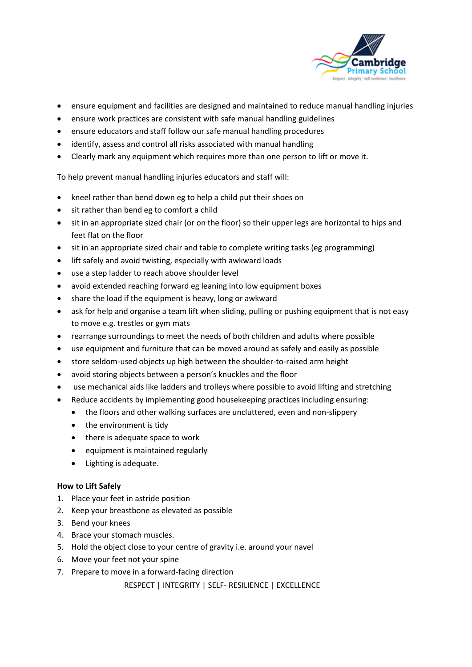

- ensure equipment and facilities are designed and maintained to reduce manual handling injuries
- ensure work practices are consistent with safe manual handling guidelines
- ensure educators and staff follow our safe manual handling procedures
- identify, assess and control all risks associated with manual handling
- Clearly mark any equipment which requires more than one person to lift or move it.

To help prevent manual handling injuries educators and staff will:

- kneel rather than bend down eg to help a child put their shoes on
- sit rather than bend eg to comfort a child
- sit in an appropriate sized chair (or on the floor) so their upper legs are horizontal to hips and feet flat on the floor
- sit in an appropriate sized chair and table to complete writing tasks (eg programming)
- lift safely and avoid twisting, especially with awkward loads
- use a step ladder to reach above shoulder level
- avoid extended reaching forward eg leaning into low equipment boxes
- share the load if the equipment is heavy, long or awkward
- ask for help and organise a team lift when sliding, pulling or pushing equipment that is not easy to move e.g. trestles or gym mats
- rearrange surroundings to meet the needs of both children and adults where possible
- use equipment and furniture that can be moved around as safely and easily as possible
- store seldom-used objects up high between the shoulder-to-raised arm height
- avoid storing objects between a person's knuckles and the floor
- use mechanical aids like ladders and trolleys where possible to avoid lifting and stretching
- Reduce accidents by implementing good housekeeping practices including ensuring:
	- the floors and other walking surfaces are uncluttered, even and non-slippery
	- the environment is tidy
	- there is adequate space to work
	- equipment is maintained regularly
	- Lighting is adequate.

#### **How to Lift Safely**

- 1. Place your feet in astride position
- 2. Keep your breastbone as elevated as possible
- 3. Bend your knees
- 4. Brace your stomach muscles.
- 5. Hold the object close to your centre of gravity i.e. around your navel
- 6. Move your feet not your spine
- 7. Prepare to move in a forward-facing direction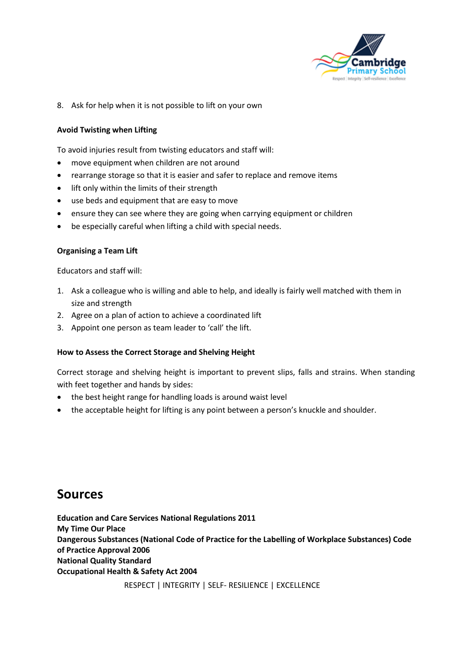

8. Ask for help when it is not possible to lift on your own

#### **Avoid Twisting when Lifting**

To avoid injuries result from twisting educators and staff will:

- move equipment when children are not around
- rearrange storage so that it is easier and safer to replace and remove items
- lift only within the limits of their strength
- use beds and equipment that are easy to move
- ensure they can see where they are going when carrying equipment or children
- be especially careful when lifting a child with special needs.

#### **Organising a Team Lift**

Educators and staff will:

- 1. Ask a colleague who is willing and able to help, and ideally is fairly well matched with them in size and strength
- 2. Agree on a plan of action to achieve a coordinated lift
- 3. Appoint one person as team leader to 'call' the lift.

#### **How to Assess the Correct Storage and Shelving Height**

Correct storage and shelving height is important to prevent slips, falls and strains. When standing with feet together and hands by sides:

- the best height range for handling loads is around waist level
- the acceptable height for lifting is any point between a person's knuckle and shoulder.

## **Sources**

**Education and Care Services National Regulations 2011 My Time Our Place Dangerous Substances (National Code of Practice for the Labelling of Workplace Substances) Code of Practice Approval 2006 National Quality Standard Occupational Health & Safety Act 2004**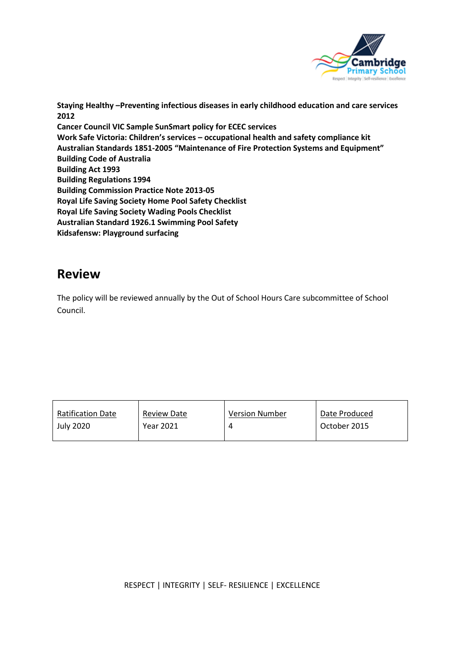

**Staying Healthy –Preventing infectious diseases in early childhood education and care services 2012 Cancer Council VIC Sample SunSmart policy for ECEC services Work Safe Victoria: Children's services – occupational health and safety compliance kit Australian Standards 1851-2005 "Maintenance of Fire Protection Systems and Equipment" Building Code of Australia Building Act 1993 Building Regulations 1994 Building Commission Practice Note 2013-05 Royal Life Saving Society Home Pool Safety Checklist Royal Life Saving Society Wading Pools Checklist Australian Standard 1926.1 Swimming Pool Safety Kidsafensw: Playground surfacing**

## **Review**

The policy will be reviewed annually by the Out of School Hours Care subcommittee of School Council.

| <b>Ratification Date</b> | <b>Review Date</b> | <b>Version Number</b> | Date Produced |
|--------------------------|--------------------|-----------------------|---------------|
| <b>July 2020</b>         | Year 2021          |                       | October 2015  |
|                          |                    |                       |               |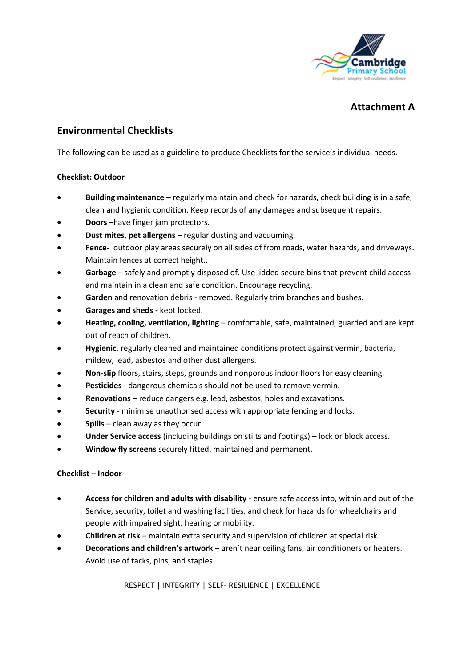

### **Attachment A**

### **Environmental Checklists**

The following can be used as a guideline to produce Checklists for the service's individual needs.

#### **Checklist: Outdoor**

- **Building maintenance**  regularly maintain and check for hazards, check building is in a safe, clean and hygienic condition. Keep records of any damages and subsequent repairs.
- **Doors** –have finger jam protectors.
- **Dust mites, pet allergens** regular dusting and vacuuming.
- **Fence-** outdoor play areas securely on all sides of from roads, water hazards, and driveways. Maintain fences at correct height..
- **Garbage**  safely and promptly disposed of. Use lidded secure bins that prevent child access and maintain in a clean and safe condition. Encourage recycling.
- **Garden** and renovation debris removed. Regularly trim branches and bushes.
- **Garages and sheds -** kept locked.
- **Heating, cooling, ventilation, lighting**  comfortable, safe, maintained, guarded and are kept out of reach of children.
- **Hygienic**, regularly cleaned and maintained conditions protect against vermin, bacteria, mildew, lead, asbestos and other dust allergens.
- **Non-slip** floors, stairs, steps, grounds and nonporous indoor floors for easy cleaning.
- **Pesticides** dangerous chemicals should not be used to remove vermin.
- **Renovations –** reduce dangers e.g. lead, asbestos, holes and excavations.
- **Security**  minimise unauthorised access with appropriate fencing and locks.
- **Spills**  clean away as they occur.
- **Under Service access** (including buildings on stilts and footings) lock or block access.
- **Window fly screens** securely fitted, maintained and permanent.

#### **Checklist – Indoor**

- **Access for children and adults with disability**  ensure safe access into, within and out of the Service, security, toilet and washing facilities, and check for hazards for wheelchairs and people with impaired sight, hearing or mobility.
- **Children at risk**  maintain extra security and supervision of children at special risk.
- **Decorations and children's artwork**  aren't near ceiling fans, air conditioners or heaters. Avoid use of tacks, pins, and staples.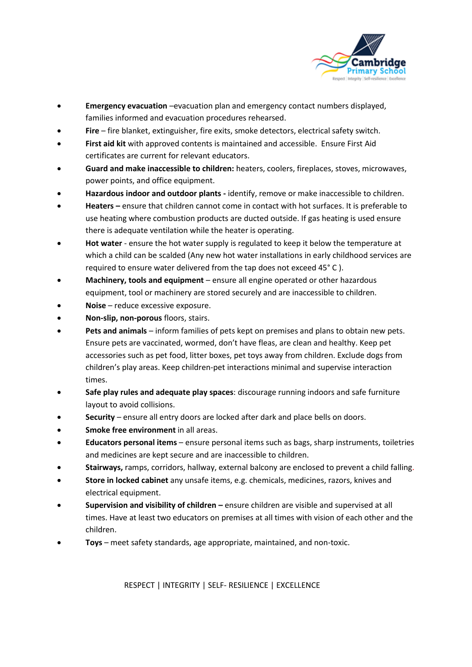

- **Emergency evacuation** –evacuation plan and emergency contact numbers displayed, families informed and evacuation procedures rehearsed.
- **Fire**  fire blanket, extinguisher, fire exits, smoke detectors, electrical safety switch.
- **First aid kit** with approved contents is maintained and accessible. Ensure First Aid certificates are current for relevant educators.
- **Guard and make inaccessible to children:** heaters, coolers, fireplaces, stoves, microwaves, power points, and office equipment.
- **Hazardous indoor and outdoor plants -** identify, remove or make inaccessible to children.
- **Heaters –** ensure that children cannot come in contact with hot surfaces. It is preferable to use heating where combustion products are ducted outside. If gas heating is used ensure there is adequate ventilation while the heater is operating.
- **Hot water**  ensure the hot water supply is regulated to keep it below the temperature at which a child can be scalded (Any new hot water installations in early childhood services are required to ensure water delivered from the tap does not exceed 45° C ).
- **Machinery, tools and equipment**  ensure all engine operated or other hazardous equipment, tool or machinery are stored securely and are inaccessible to children.
- **Noise**  reduce excessive exposure.
- **Non-slip, non-porous** floors, stairs.
- **Pets and animals**  inform families of pets kept on premises and plans to obtain new pets. Ensure pets are vaccinated, wormed, don't have fleas, are clean and healthy. Keep pet accessories such as pet food, litter boxes, pet toys away from children. Exclude dogs from children's play areas. Keep children-pet interactions minimal and supervise interaction times.
- **Safe play rules and adequate play spaces**: discourage running indoors and safe furniture layout to avoid collisions.
- **Security**  ensure all entry doors are locked after dark and place bells on doors.
- **Smoke free environment** in all areas.
- **Educators personal items**  ensure personal items such as bags, sharp instruments, toiletries and medicines are kept secure and are inaccessible to children.
- **Stairways,** ramps, corridors, hallway, external balcony are enclosed to prevent a child falling.
- **Store in locked cabinet** any unsafe items, e.g. chemicals, medicines, razors, knives and electrical equipment.
- **Supervision and visibility of children –** ensure children are visible and supervised at all times. Have at least two educators on premises at all times with vision of each other and the children.
- **Toys**  meet safety standards, age appropriate, maintained, and non-toxic.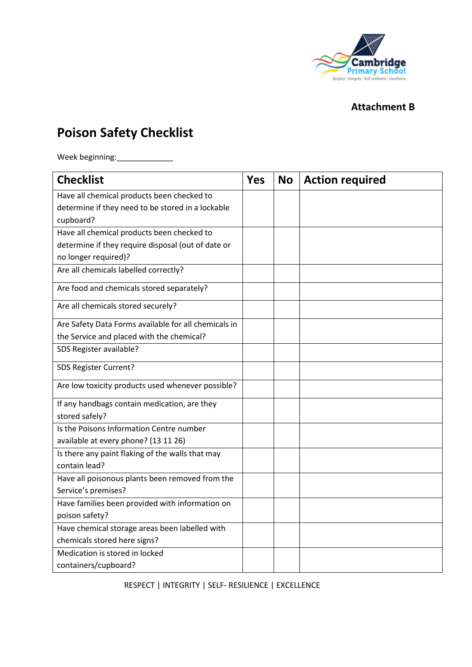

## **Attachment B**

# **Poison Safety Checklist**

Week beginning:\_\_\_\_\_\_\_\_\_\_\_\_\_

| <b>Checklist</b>                                     | <b>Yes</b> | <b>No</b> | <b>Action required</b> |
|------------------------------------------------------|------------|-----------|------------------------|
| Have all chemical products been checked to           |            |           |                        |
| determine if they need to be stored in a lockable    |            |           |                        |
| cupboard?                                            |            |           |                        |
| Have all chemical products been checked to           |            |           |                        |
| determine if they require disposal (out of date or   |            |           |                        |
| no longer required)?                                 |            |           |                        |
| Are all chemicals labelled correctly?                |            |           |                        |
| Are food and chemicals stored separately?            |            |           |                        |
| Are all chemicals stored securely?                   |            |           |                        |
| Are Safety Data Forms available for all chemicals in |            |           |                        |
| the Service and placed with the chemical?            |            |           |                        |
| SDS Register available?                              |            |           |                        |
| SDS Register Current?                                |            |           |                        |
| Are low toxicity products used whenever possible?    |            |           |                        |
| If any handbags contain medication, are they         |            |           |                        |
| stored safely?                                       |            |           |                        |
| Is the Poisons Information Centre number             |            |           |                        |
| available at every phone? (13 11 26)                 |            |           |                        |
| Is there any paint flaking of the walls that may     |            |           |                        |
| contain lead?                                        |            |           |                        |
| Have all poisonous plants been removed from the      |            |           |                        |
| Service's premises?                                  |            |           |                        |
| Have families been provided with information on      |            |           |                        |
| poison safety?                                       |            |           |                        |
| Have chemical storage areas been labelled with       |            |           |                        |
| chemicals stored here signs?                         |            |           |                        |
| Medication is stored in locked                       |            |           |                        |
| containers/cupboard?                                 |            |           |                        |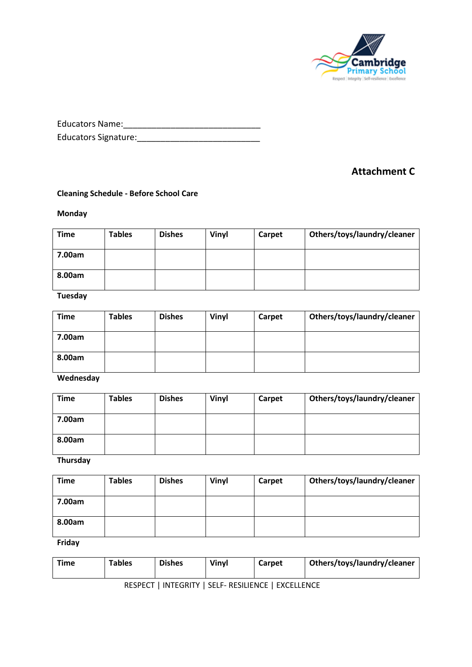

| <b>Educators Name:</b>      |  |
|-----------------------------|--|
| <b>Educators Signature:</b> |  |

## **Attachment C**

#### **Cleaning Schedule - Before School Care**

#### **Monday**

| <b>Time</b> | <b>Tables</b> | <b>Dishes</b> | Vinyl | Carpet | Others/toys/laundry/cleaner |
|-------------|---------------|---------------|-------|--------|-----------------------------|
| 7.00am      |               |               |       |        |                             |
| 8.00am      |               |               |       |        |                             |

### **Tuesday**

| <b>Time</b> | <b>Tables</b> | <b>Dishes</b> | Vinyl | Carpet | Others/toys/laundry/cleaner |
|-------------|---------------|---------------|-------|--------|-----------------------------|
| 7.00am      |               |               |       |        |                             |
| 8.00am      |               |               |       |        |                             |

**Wednesday**

| <b>Time</b> | <b>Tables</b> | <b>Dishes</b> | Vinyl | Carpet | Others/toys/laundry/cleaner |
|-------------|---------------|---------------|-------|--------|-----------------------------|
| 7.00am      |               |               |       |        |                             |
| 8.00am      |               |               |       |        |                             |

**Thursday**

| <b>Time</b> | <b>Tables</b> | <b>Dishes</b> | Vinyl | Carpet | Others/toys/laundry/cleaner |
|-------------|---------------|---------------|-------|--------|-----------------------------|
| 7.00am      |               |               |       |        |                             |
| 8.00am      |               |               |       |        |                             |

**Friday** 

| <b>Tables</b><br><b>Dishes</b><br>Vinyl<br>Time<br>Carpet |  |  |  |  |  |  | Others/toys/laundry/cleaner |
|-----------------------------------------------------------|--|--|--|--|--|--|-----------------------------|
|-----------------------------------------------------------|--|--|--|--|--|--|-----------------------------|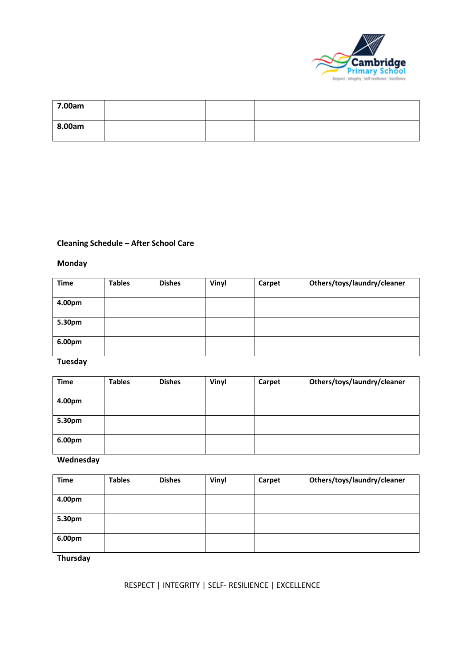

| 7.00am |  |  |  |
|--------|--|--|--|
| 8.00am |  |  |  |

### **Cleaning Schedule – After School Care**

### **Monday**

| <b>Time</b> | <b>Tables</b> | <b>Dishes</b> | Vinyl | Carpet | Others/toys/laundry/cleaner |
|-------------|---------------|---------------|-------|--------|-----------------------------|
| 4.00pm      |               |               |       |        |                             |
| 5.30pm      |               |               |       |        |                             |
| 6.00pm      |               |               |       |        |                             |

### **Tuesday**

| <b>Time</b> | <b>Tables</b> | <b>Dishes</b> | Vinyl | Carpet | Others/toys/laundry/cleaner |
|-------------|---------------|---------------|-------|--------|-----------------------------|
| 4.00pm      |               |               |       |        |                             |
| 5.30pm      |               |               |       |        |                             |
| 6.00pm      |               |               |       |        |                             |

### **Wednesday**

| <b>Time</b> | <b>Tables</b> | <b>Dishes</b> | Vinyl | Carpet | Others/toys/laundry/cleaner |
|-------------|---------------|---------------|-------|--------|-----------------------------|
| 4.00pm      |               |               |       |        |                             |
| 5.30pm      |               |               |       |        |                             |
| 6.00pm      |               |               |       |        |                             |

**Thursday**